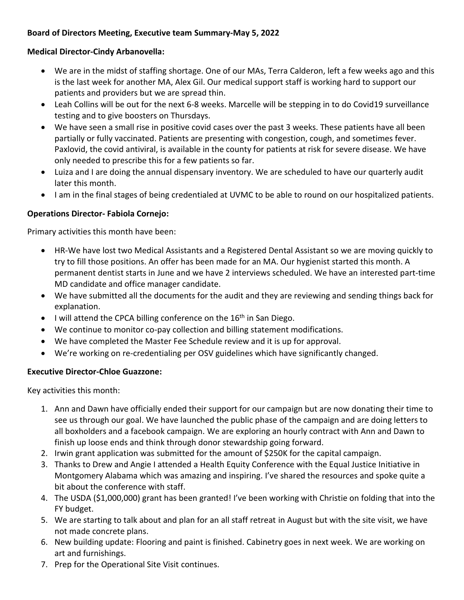# **Board of Directors Meeting, Executive team Summary-May 5, 2022**

## **Medical Director-Cindy Arbanovella:**

- We are in the midst of staffing shortage. One of our MAs, Terra Calderon, left a few weeks ago and this is the last week for another MA, Alex Gil. Our medical support staff is working hard to support our patients and providers but we are spread thin.
- Leah Collins will be out for the next 6-8 weeks. Marcelle will be stepping in to do Covid19 surveillance testing and to give boosters on Thursdays.
- We have seen a small rise in positive covid cases over the past 3 weeks. These patients have all been partially or fully vaccinated. Patients are presenting with congestion, cough, and sometimes fever. Paxlovid, the covid antiviral, is available in the county for patients at risk for severe disease. We have only needed to prescribe this for a few patients so far.
- Luiza and I are doing the annual dispensary inventory. We are scheduled to have our quarterly audit later this month.
- I am in the final stages of being credentialed at UVMC to be able to round on our hospitalized patients.

### **Operations Director- Fabiola Cornejo:**

Primary activities this month have been:

- HR-We have lost two Medical Assistants and a Registered Dental Assistant so we are moving quickly to try to fill those positions. An offer has been made for an MA. Our hygienist started this month. A permanent dentist starts in June and we have 2 interviews scheduled. We have an interested part-time MD candidate and office manager candidate.
- We have submitted all the documents for the audit and they are reviewing and sending things back for explanation.
- $\bullet$  I will attend the CPCA billing conference on the 16<sup>th</sup> in San Diego.
- We continue to monitor co-pay collection and billing statement modifications.
- We have completed the Master Fee Schedule review and it is up for approval.
- We're working on re-credentialing per OSV guidelines which have significantly changed.

### **Executive Director-Chloe Guazzone:**

Key activities this month:

- 1. Ann and Dawn have officially ended their support for our campaign but are now donating their time to see us through our goal. We have launched the public phase of the campaign and are doing letters to all boxholders and a facebook campaign. We are exploring an hourly contract with Ann and Dawn to finish up loose ends and think through donor stewardship going forward.
- 2. Irwin grant application was submitted for the amount of \$250K for the capital campaign.
- 3. Thanks to Drew and Angie I attended a Health Equity Conference with the Equal Justice Initiative in Montgomery Alabama which was amazing and inspiring. I've shared the resources and spoke quite a bit about the conference with staff.
- 4. The USDA (\$1,000,000) grant has been granted! I've been working with Christie on folding that into the FY budget.
- 5. We are starting to talk about and plan for an all staff retreat in August but with the site visit, we have not made concrete plans.
- 6. New building update: Flooring and paint is finished. Cabinetry goes in next week. We are working on art and furnishings.
- 7. Prep for the Operational Site Visit continues.